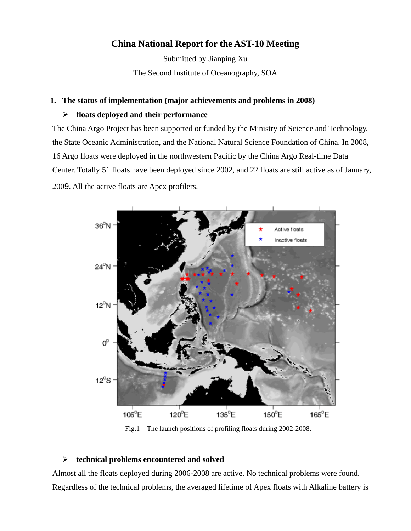# **China National Report for the AST-10 Meeting**

Submitted by Jianping Xu The Second Institute of Oceanography, SOA

#### **1. The status of implementation (major achievements and problems in 2008)**

### ¾ **floats deployed and their performance**

The China Argo Project has been supported or funded by the Ministry of Science and Technology, the State Oceanic Administration, and the National Natural Science Foundation of China. In 2008, 16 Argo floats were deployed in the northwestern Pacific by the China Argo Real-time Data Center. Totally 51 floats have been deployed since 2002, and 22 floats are still active as of January, 2009. All the active floats are Apex profilers.



Fig.1 The launch positions of profiling floats during 2002-2008.

# ¾ **technical problems encountered and solved**

Almost all the floats deployed during 2006-2008 are active. No technical problems were found. Regardless of the technical problems, the averaged lifetime of Apex floats with Alkaline battery is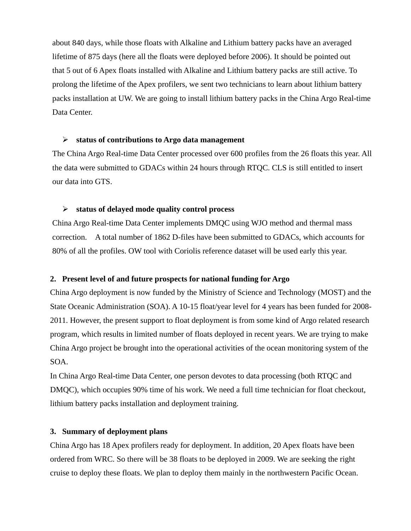about 840 days, while those floats with Alkaline and Lithium battery packs have an averaged lifetime of 875 days (here all the floats were deployed before 2006). It should be pointed out that 5 out of 6 Apex floats installed with Alkaline and Lithium battery packs are still active. To prolong the lifetime of the Apex profilers, we sent two technicians to learn about lithium battery packs installation at UW. We are going to install lithium battery packs in the China Argo Real-time Data Center.

#### ¾ **status of contributions to Argo data management**

The China Argo Real-time Data Center processed over 600 profiles from the 26 floats this year. All the data were submitted to GDACs within 24 hours through RTQC. CLS is still entitled to insert our data into GTS.

#### ¾ **status of delayed mode quality control process**

China Argo Real-time Data Center implements DMQC using WJO method and thermal mass correction. A total number of 1862 D-files have been submitted to GDACs, which accounts for 80% of all the profiles. OW tool with Coriolis reference dataset will be used early this year.

#### **2. Present level of and future prospects for national funding for Argo**

China Argo deployment is now funded by the Ministry of Science and Technology (MOST) and the State Oceanic Administration (SOA). A 10-15 float/year level for 4 years has been funded for 2008- 2011. However, the present support to float deployment is from some kind of Argo related research program, which results in limited number of floats deployed in recent years. We are trying to make China Argo project be brought into the operational activities of the ocean monitoring system of the SOA.

In China Argo Real-time Data Center, one person devotes to data processing (both RTQC and DMQC), which occupies 90% time of his work. We need a full time technician for float checkout, lithium battery packs installation and deployment training.

#### **3. Summary of deployment plans**

China Argo has 18 Apex profilers ready for deployment. In addition, 20 Apex floats have been ordered from WRC. So there will be 38 floats to be deployed in 2009. We are seeking the right cruise to deploy these floats. We plan to deploy them mainly in the northwestern Pacific Ocean.